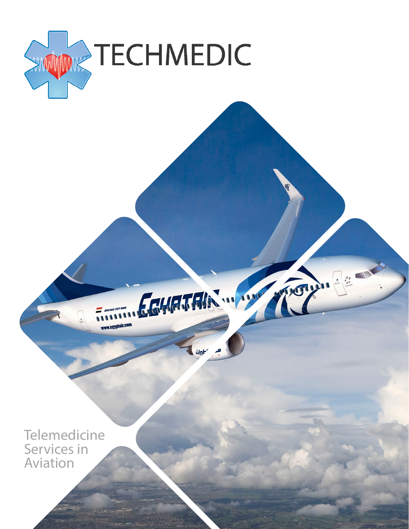